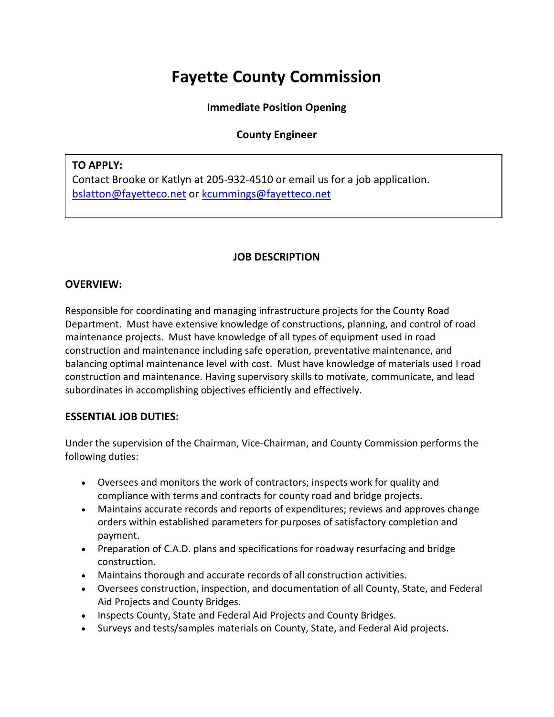# **Fayette County Commission**

### **Immediate Position Opening**

# **County Engineer**

### **TO APPLY:**

Contact Brooke or Katlyn at 205-932-4510 or email us for a job application. [bslatton@fayetteco.net](mailto:bslatton@fayetteco.net) or [kcummings@fayetteco.net](mailto:kcummings@fayetteco.net)

## **JOB DESCRIPTION**

#### **OVERVIEW:**

Responsible for coordinating and managing infrastructure projects for the County Road Department. Must have extensive knowledge of constructions, planning, and control of road maintenance projects. Must have knowledge of all types of equipment used in road construction and maintenance including safe operation, preventative maintenance, and balancing optimal maintenance level with cost. Must have knowledge of materials used I road construction and maintenance. Having supervisory skills to motivate, communicate, and lead subordinates in accomplishing objectives efficiently and effectively.

#### **ESSENTIAL JOB DUTIES:**

Under the supervision of the Chairman, Vice-Chairman, and County Commission performs the following duties:

- Oversees and monitors the work of contractors; inspects work for quality and compliance with terms and contracts for county road and bridge projects.
- Maintains accurate records and reports of expenditures; reviews and approves change orders within established parameters for purposes of satisfactory completion and payment.
- Preparation of C.A.D. plans and specifications for roadway resurfacing and bridge construction.
- Maintains thorough and accurate records of all construction activities.
- Oversees construction, inspection, and documentation of all County, State, and Federal Aid Projects and County Bridges.
- Inspects County, State and Federal Aid Projects and County Bridges.
- Surveys and tests/samples materials on County, State, and Federal Aid projects.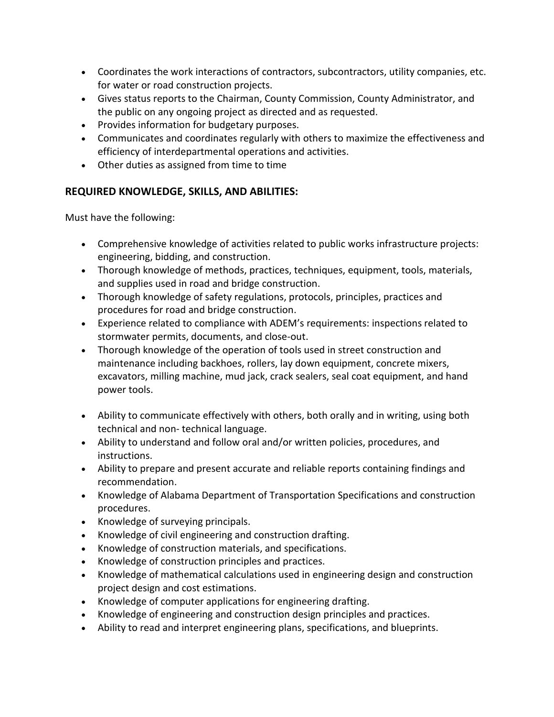- Coordinates the work interactions of contractors, subcontractors, utility companies, etc. for water or road construction projects.
- Gives status reports to the Chairman, County Commission, County Administrator, and the public on any ongoing project as directed and as requested.
- Provides information for budgetary purposes.
- Communicates and coordinates regularly with others to maximize the effectiveness and efficiency of interdepartmental operations and activities.
- Other duties as assigned from time to time

# **REQUIRED KNOWLEDGE, SKILLS, AND ABILITIES:**

Must have the following:

- Comprehensive knowledge of activities related to public works infrastructure projects: engineering, bidding, and construction.
- Thorough knowledge of methods, practices, techniques, equipment, tools, materials, and supplies used in road and bridge construction.
- Thorough knowledge of safety regulations, protocols, principles, practices and procedures for road and bridge construction.
- Experience related to compliance with ADEM's requirements: inspections related to stormwater permits, documents, and close-out.
- Thorough knowledge of the operation of tools used in street construction and maintenance including backhoes, rollers, lay down equipment, concrete mixers, excavators, milling machine, mud jack, crack sealers, seal coat equipment, and hand power tools.
- Ability to communicate effectively with others, both orally and in writing, using both technical and non- technical language.
- Ability to understand and follow oral and/or written policies, procedures, and instructions.
- Ability to prepare and present accurate and reliable reports containing findings and recommendation.
- Knowledge of Alabama Department of Transportation Specifications and construction procedures.
- Knowledge of surveying principals.
- Knowledge of civil engineering and construction drafting.
- Knowledge of construction materials, and specifications.
- Knowledge of construction principles and practices.
- Knowledge of mathematical calculations used in engineering design and construction project design and cost estimations.
- Knowledge of computer applications for engineering drafting.
- Knowledge of engineering and construction design principles and practices.
- Ability to read and interpret engineering plans, specifications, and blueprints.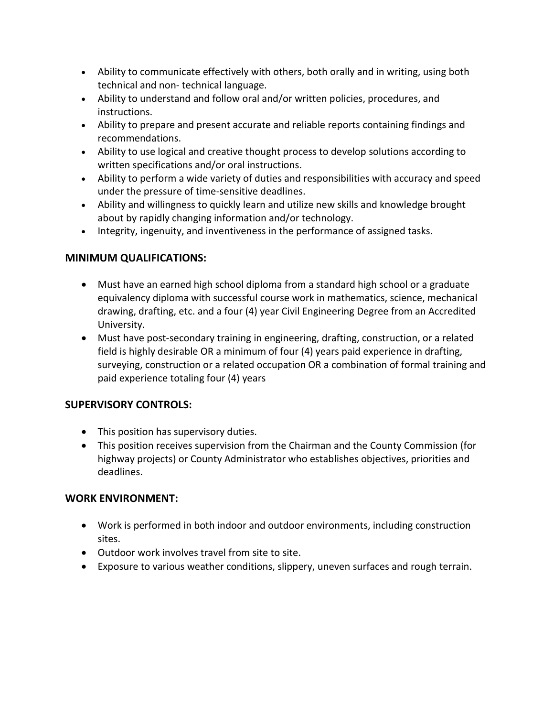- Ability to communicate effectively with others, both orally and in writing, using both technical and non- technical language.
- Ability to understand and follow oral and/or written policies, procedures, and instructions.
- Ability to prepare and present accurate and reliable reports containing findings and recommendations.
- Ability to use logical and creative thought process to develop solutions according to written specifications and/or oral instructions.
- Ability to perform a wide variety of duties and responsibilities with accuracy and speed under the pressure of time-sensitive deadlines.
- Ability and willingness to quickly learn and utilize new skills and knowledge brought about by rapidly changing information and/or technology.
- Integrity, ingenuity, and inventiveness in the performance of assigned tasks.

# **MINIMUM QUALIFICATIONS:**

- Must have an earned high school diploma from a standard high school or a graduate equivalency diploma with successful course work in mathematics, science, mechanical drawing, drafting, etc. and a four (4) year Civil Engineering Degree from an Accredited University.
- Must have post-secondary training in engineering, drafting, construction, or a related field is highly desirable OR a minimum of four (4) years paid experience in drafting, surveying, construction or a related occupation OR a combination of formal training and paid experience totaling four (4) years

# **SUPERVISORY CONTROLS:**

- This position has supervisory duties.
- This position receives supervision from the Chairman and the County Commission (for highway projects) or County Administrator who establishes objectives, priorities and deadlines.

#### **WORK ENVIRONMENT:**

- Work is performed in both indoor and outdoor environments, including construction sites.
- Outdoor work involves travel from site to site.
- Exposure to various weather conditions, slippery, uneven surfaces and rough terrain.